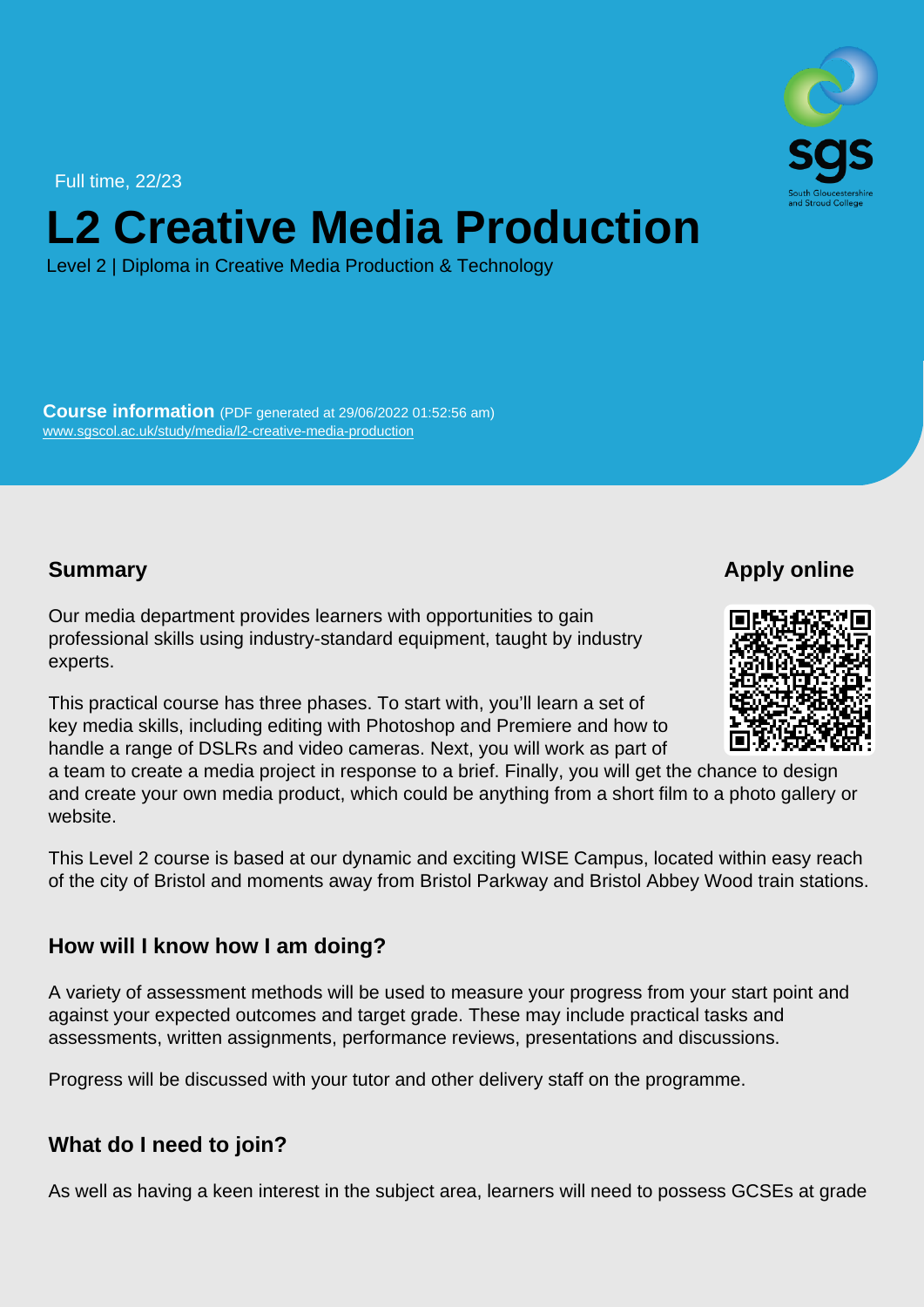Full time, 22/23

# L2 Creative Media Production

Level 2 | Diploma in Creative Media Production & Technology

Course information (PDF generated at 29/06/2022 01:52:56 am) [www.sgscol.ac.uk/study/media/l2-creative-media-production](https://www.sgscol.ac.uk/study/media/l2-creative-media-production)

**Summary** 

Apply online

Our media department provides learners with opportunities to gain professional skills using industry-standard equipment, taught by industry experts.

This practical course has three phases. To start with, you'll learn a set of key media skills, including editing with Photoshop and Premiere and how to handle a range of DSLRs and video cameras. Next, you will work as part of a team to create a media project in response to a brief. Finally, you will get the chance to design and create your own media product, which could be anything from a short film to a photo gallery or website.

This Level 2 course is based at our dynamic and exciting WISE Campus, located within easy reach of the city of Bristol and moments away from Bristol Parkway and Bristol Abbey Wood train stations.

How will I know how I am doing?

A variety of assessment methods will be used to measure your progress from your start point and against your expected outcomes and target grade. These may include practical tasks and assessments, written assignments, performance reviews, presentations and discussions.

Progress will be discussed with your tutor and other delivery staff on the programme.

What do I need to join?

As well as having a keen interest in the subject area, learners will need to possess GCSEs at grade